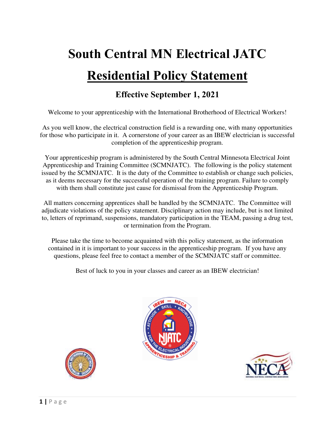# **South Central MN Electrical JATC Residential Policy Statement**

# **Effective September 1, 2021**

Welcome to your apprenticeship with the International Brotherhood of Electrical Workers!

As you well know, the electrical construction field is a rewarding one, with many opportunities for those who participate in it. A cornerstone of your career as an IBEW electrician is successful completion of the apprenticeship program.

Your apprenticeship program is administered by the South Central Minnesota Electrical Joint Apprenticeship and Training Committee (SCMNJATC). The following is the policy statement issued by the SCMNJATC. It is the duty of the Committee to establish or change such policies, as it deems necessary for the successful operation of the training program. Failure to comply with them shall constitute just cause for dismissal from the Apprenticeship Program.

All matters concerning apprentices shall be handled by the SCMNJATC. The Committee will adjudicate violations of the policy statement. Disciplinary action may include, but is not limited to, letters of reprimand, suspensions, mandatory participation in the TEAM, passing a drug test, or termination from the Program.

Please take the time to become acquainted with this policy statement, as the information contained in it is important to your success in the apprenticeship program. If you have any questions, please feel free to contact a member of the SCMNJATC staff or committee.

Best of luck to you in your classes and career as an IBEW electrician!





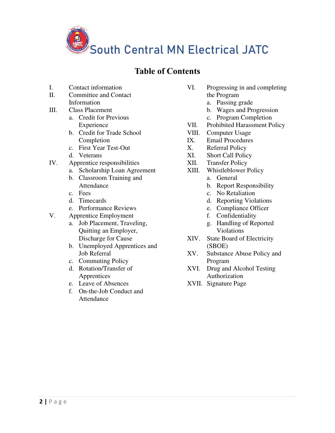

# **Table of Contents**

- I. Contact information
- II. Committee and Contact Information
- III. Class Placement
	- a. Credit for Previous Experience
	- b. Credit for Trade School Completion
	- c. First Year Test-Out
	- d. Veterans
- IV. Apprentice responsibilities
	- a. Scholarship Loan Agreement
	- b. Classroom Training and Attendance
	- c. Fees
	- d. Timecards
	- e. Performance Reviews
- V. Apprentice Employment
	- a. Job Placement, Traveling, Quitting an Employer, Discharge for Cause
	- b. Unemployed Apprentices and Job Referral
	- c. Commuting Policy
	- d. Rotation/Transfer of Apprentices
	- e. Leave of Absences
	- f. On-the-Job Conduct and Attendance
- VI. Progressing in and completing the Program
	- a. Passing grade
	- b. Wages and Progression
	- c. Program Completion
- VII. Prohibited Harassment Policy<br>VIII. Computer Usage
- Computer Usage
- IX. Email Procedures
- X. Referral Policy
- XI. Short Call Policy
- XII. Transfer Policy
- XIII. Whistleblower Policy
	- a. General
	- b. Report Responsibility
	- c. No Retaliation
	- d. Reporting Violations
	- e. Compliance Officer
	- f. Confidentiality
	- g. Handling of Reported Violations
- XIV. State Board of Electricity (SBOE)
- XV. Substance Abuse Policy and Program
- XVI. Drug and Alcohol Testing Authorization
- XVII. Signature Page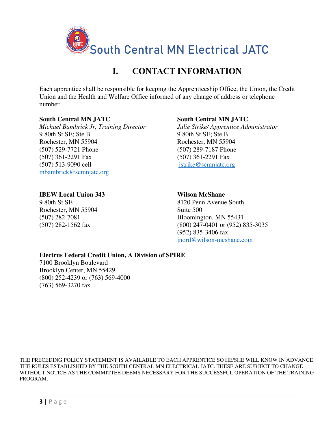

# **I. CONTACT INFORMATION**

Each apprentice shall be responsible for keeping the Apprenticeship Office, the Union, the Credit Union and the Health and Welfare Office informed of any change of address or telephone number.

#### **South Central MN JATC**

*Michael Bambrick Jr, Training Director*  9 80th St SE; Ste B Rochester, MN 55904 (507) 529-7721 Phone (507) 361-2291 Fax (507) 513-9090 cell [mbambrick@scmnjatc.org](mailto:mbambrick@scmnjatc.org) 

### **South Central MN JATC**

*Julie Strike/ Apprentice Administrator*  9 80th St SE; Ste B Rochester, MN 55904 (507) 289-7187 Phone (507) 361-2291 Fax [jstrike@scmnjatc.org](mailto:jstrike@scmnjatc.org)

### **IBEW Local Union 343**

9 80th St SE Rochester, MN 55904 (507) 282-7081 (507) 282-1562 fax

#### **Wilson McShane**

8120 Penn Avenue South Suite 500 Bloomington, MN 55431 (800) 247-0401 or (952) 835-3035 (952) 835-3406 fax [jnord@wilson-mcshane.com](mailto:jnord@wilson-mcshane.com)

### **Electrus Federal Credit Union, A Division of SPIRE**

7100 Brooklyn Boulevard Brooklyn Center, MN 55429 (800) 252-4239 or (763) 569-4000 (763) 569-3270 fax

THE PRECEDING POLICY STATEMENT IS AVAILABLE TO EACH APPRENTICE SO HE/SHE WILL KNOW IN ADVANCE THE RULES ESTABLISHED BY THE SOUTH CENTRAL MN ELECTRICAL JATC. THESE ARE SUBJECT TO CHANGE WITHOUT NOTICE AS THE COMMITTEE DEEMS NECESSARY FOR THE SUCCESSFUL OPERATION OF THE TRAINING PROGRAM.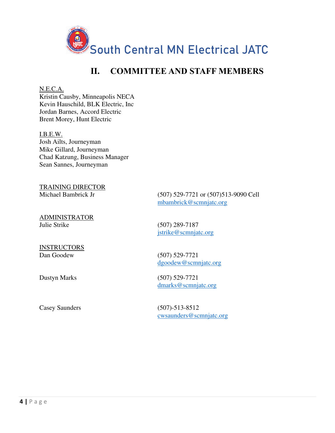![](_page_3_Picture_0.jpeg)

# **II. COMMITTEE AND STAFF MEMBERS**

N.E.C.A.

Kristin Causby, Minneapolis NECA Kevin Hauschild, BLK Electric, Inc Jordan Barnes, Accord Electric Brent Morey, Hunt Electric

 I.B.E.W. Josh Ailts, Journeyman Mike Gillard, Journeyman Chad Katzung, Business Manager Sean Sannes, Journeyman

TRAINING DIRECTOR Michael Bambrick Jr (507) 529-7721 or (507)513-9090 Cell

ADMINISTRATOR Julie Strike (507) 289-7187

**INSTRUCTORS** 

[mbambrick@scmnjatc.org](mailto:mbambrick@scmnjatc.org) 

[jstrike@scmnjatc.org](mailto:jstrike@scmnjatc.org) 

Dan Goodew (507) 529-7721 [dgoodew@scmnjatc.org](mailto:dgoodew@scmnjatc.org) 

Dustyn Marks (507) 529-7721 [dmarks@scmnjatc.org](mailto:dmarks@scmnjatc.org) 

Casey Saunders (507)-513-8512

[cwsaunders@scmnjatc.org](mailto:cwsaunders@scmnjatc.org)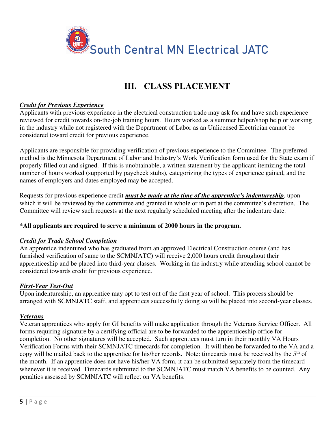![](_page_4_Picture_0.jpeg)

# **III. CLASS PLACEMENT**

### *Credit for Previous Experience*

Applicants with previous experience in the electrical construction trade may ask for and have such experience reviewed for credit towards on-the-job training hours. Hours worked as a summer helper/shop help or working in the industry while not registered with the Department of Labor as an Unlicensed Electrician cannot be considered toward credit for previous experience.

Applicants are responsible for providing verification of previous experience to the Committee. The preferred method is the Minnesota Department of Labor and Industry's Work Verification form used for the State exam if properly filled out and signed. If this is unobtainable, a written statement by the applicant itemizing the total number of hours worked (supported by paycheck stubs), categorizing the types of experience gained, and the names of employers and dates employed may be accepted.

Requests for previous experience credit *must be made at the time of the apprentice's indentureship*, upon which it will be reviewed by the committee and granted in whole or in part at the committee's discretion. The Committee will review such requests at the next regularly scheduled meeting after the indenture date.

### **\*All applicants are required to serve a minimum of 2000 hours in the program.**

### *Credit for Trade School Completion*

An apprentice indentured who has graduated from an approved Electrical Construction course (and has furnished verification of same to the SCMNJATC) will receive 2,000 hours credit throughout their apprenticeship and be placed into third-year classes. Working in the industry while attending school cannot be considered towards credit for previous experience.

### *First-Year Test-Out*

Upon indentureship, an apprentice may opt to test out of the first year of school. This process should be arranged with SCMNJATC staff, and apprentices successfully doing so will be placed into second-year classes.

### *Veterans*

Veteran apprentices who apply for GI benefits will make application through the Veterans Service Officer. All forms requiring signature by a certifying official are to be forwarded to the apprenticeship office for completion. No other signatures will be accepted. Such apprentices must turn in their monthly VA Hours Verification Forms with their SCMNJATC timecards for completion. It will then be forwarded to the VA and a copy will be mailed back to the apprentice for his/her records. Note: timecards must be received by the  $5<sup>th</sup>$  of the month. If an apprentice does not have his/her VA form, it can be submitted separately from the timecard whenever it is received. Timecards submitted to the SCMNJATC must match VA benefits to be counted. Any penalties assessed by SCMNJATC will reflect on VA benefits.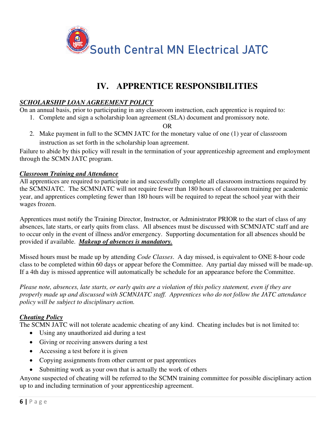![](_page_5_Picture_0.jpeg)

# **IV. APPRENTICE RESPONSIBILITIES**

### *SCHOLARSHIP LOAN AGREEMENT POLICY*

On an annual basis, prior to participating in any classroom instruction, each apprentice is required to:

1. Complete and sign a scholarship loan agreement (SLA) document and promissory note.

OR

2. Make payment in full to the SCMN JATC for the monetary value of one (1) year of classroom instruction as set forth in the scholarship loan agreement.

Failure to abide by this policy will result in the termination of your apprenticeship agreement and employment through the SCMN JATC program.

### *Classroom Training and Attendance*

All apprentices are required to participate in and successfully complete all classroom instructions required by the SCMNJATC. The SCMNJATC will not require fewer than 180 hours of classroom training per academic year, and apprentices completing fewer than 180 hours will be required to repeat the school year with their wages frozen.

Apprentices must notify the Training Director, Instructor, or Administrator PRIOR to the start of class of any absences, late starts, or early quits from class. All absences must be discussed with SCMNJATC staff and are to occur only in the event of illness and/or emergency. Supporting documentation for all absences should be provided if available. *Makeup of absences is mandatory.*

Missed hours must be made up by attending *Code Classes*. A day missed, is equivalent to ONE 8-hour code class to be completed within 60 days or appear before the Committee. Any partial day missed will be made-up. If a 4th day is missed apprentice will automatically be schedule for an appearance before the Committee.

*Please note, absences, late starts, or early quits are a violation of this policy statement, even if they are properly made up and discussed with SCMNJATC staff. Apprentices who do not follow the JATC attendance policy will be subject to disciplinary action.* 

### *Cheating Policy*

The SCMN JATC will not tolerate academic cheating of any kind. Cheating includes but is not limited to:

- Using any unauthorized aid during a test
- Giving or receiving answers during a test
- Accessing a test before it is given
- Copying assignments from other current or past apprentices
- Submitting work as your own that is actually the work of others

Anyone suspected of cheating will be referred to the SCMN training committee for possible disciplinary action up to and including termination of your apprenticeship agreement.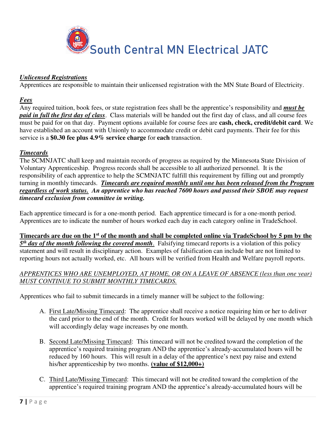![](_page_6_Picture_0.jpeg)

### *Unlicensed Registrations*

Apprentices are responsible to maintain their unlicensed registration with the MN State Board of Electricity.

#### *Fees*

Any required tuition, book fees, or state registration fees shall be the apprentice's responsibility and *must be paid in full the first day of class*. Class materials will be handed out the first day of class, and all course fees must be paid for on that day. Payment options available for course fees are **cash, check, credit/debit card**. We have established an account with Unionly to accommodate credit or debit card payments. Their fee for this service is a **\$0.30 fee plus 4.9% service charge** for **each** transaction.

### *Timecards*

The SCMNJATC shall keep and maintain records of progress as required by the Minnesota State Division of Voluntary Apprenticeship. Progress records shall be accessible to all authorized personnel. It is the responsibility of each apprentice to help the SCMNJATC fulfill this requirement by filling out and promptly turning in monthly timecards. *Timecards are required monthly until one has been released from the Program regardless of work status. An apprentice who has reached 7600 hours and passed their SBOE may request timecard exclusion from committee in writing.* 

Each apprentice timecard is for a one-month period. Each apprentice timecard is for a one-month period. Apprentices are to indicate the number of hours worked each day in each category online in TradeSchool.

**Timecards are due on the 1st of the month and shall be completed online via TradeSchool by 5 pm by the** 5<sup>th</sup> day of the month following the covered month. Falsifying timecard reports is a violation of this policy statement and will result in disciplinary action. Examples of falsification can include but are not limited to reporting hours not actually worked, etc. All hours will be verified from Health and Welfare payroll reports.

### *APPRENTICES WHO ARE UNEMPLOYED, AT HOME, OR ON A LEAVE OF ABSENCE (less than one year) MUST CONTINUE TO SUBMIT MONTHLY TIMECARDS.*

Apprentices who fail to submit timecards in a timely manner will be subject to the following:

- A. First Late/Missing Timecard: The apprentice shall receive a notice requiring him or her to deliver the card prior to the end of the month. Credit for hours worked will be delayed by one month which will accordingly delay wage increases by one month.
- B. Second Late/Missing Timecard: This timecard will not be credited toward the completion of the apprentice's required training program AND the apprentice's already-accumulated hours will be reduced by 160 hours. This will result in a delay of the apprentice's next pay raise and extend his/her apprenticeship by two months. **(value of \$12,000+)**
- C. Third Late/Missing Timecard: This timecard will not be credited toward the completion of the apprentice's required training program AND the apprentice's already-accumulated hours will be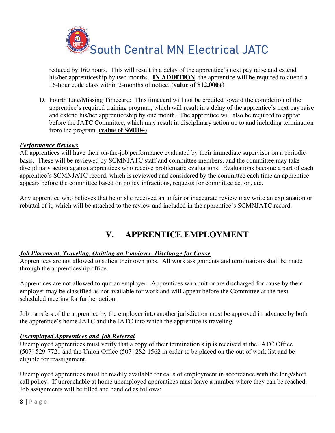![](_page_7_Picture_0.jpeg)

reduced by 160 hours. This will result in a delay of the apprentice's next pay raise and extend his/her apprenticeship by two months. **IN ADDITION**, the apprentice will be required to attend a 16-hour code class within 2-months of notice. **(value of \$12,000+)**

D. Fourth Late/Missing Timecard: This timecard will not be credited toward the completion of the apprentice's required training program, which will result in a delay of the apprentice's next pay raise and extend his/her apprenticeship by one month. The apprentice will also be required to appear before the JATC Committee, which may result in disciplinary action up to and including termination from the program. **(value of \$6000+)**

### *Performance Reviews*

All apprentices will have their on-the-job performance evaluated by their immediate supervisor on a periodic basis. These will be reviewed by SCMNJATC staff and committee members, and the committee may take disciplinary action against apprentices who receive problematic evaluations. Evaluations become a part of each apprentice's SCMNJATC record, which is reviewed and considered by the committee each time an apprentice appears before the committee based on policy infractions, requests for committee action, etc.

Any apprentice who believes that he or she received an unfair or inaccurate review may write an explanation or rebuttal of it, which will be attached to the review and included in the apprentice's SCMNJATC record.

# **V. APPRENTICE EMPLOYMENT**

### *Job Placement, Traveling, Quitting an Employer, Discharge for Cause*

Apprentices are not allowed to solicit their own jobs. All work assignments and terminations shall be made through the apprenticeship office.

Apprentices are not allowed to quit an employer. Apprentices who quit or are discharged for cause by their employer may be classified as not available for work and will appear before the Committee at the next scheduled meeting for further action.

Job transfers of the apprentice by the employer into another jurisdiction must be approved in advance by both the apprentice's home JATC and the JATC into which the apprentice is traveling.

### *Unemployed Apprentices and Job Referral*

Unemployed apprentices must verify that a copy of their termination slip is received at the JATC Office (507) 529-7721 and the Union Office (507) 282-1562 in order to be placed on the out of work list and be eligible for reassignment.

Unemployed apprentices must be readily available for calls of employment in accordance with the long/short call policy. If unreachable at home unemployed apprentices must leave a number where they can be reached. Job assignments will be filled and handled as follows: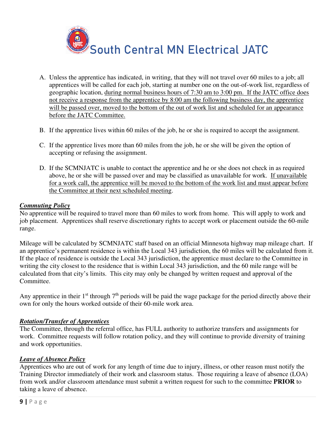![](_page_8_Picture_0.jpeg)

- A. Unless the apprentice has indicated, in writing, that they will not travel over 60 miles to a job; all apprentices will be called for each job, starting at number one on the out-of-work list, regardless of geographic location, during normal business hours of 7:30 am to 3:00 pm. If the JATC office does not receive a response from the apprentice by 8:00 am the following business day, the apprentice will be passed over, moved to the bottom of the out of work list and scheduled for an appearance before the JATC Committee.
- B. If the apprentice lives within 60 miles of the job, he or she is required to accept the assignment.
- C. If the apprentice lives more than 60 miles from the job, he or she will be given the option of accepting or refusing the assignment.
- D. If the SCMNJATC is unable to contact the apprentice and he or she does not check in as required above, he or she will be passed over and may be classified as unavailable for work. If unavailable for a work call, the apprentice will be moved to the bottom of the work list and must appear before the Committee at their next scheduled meeting.

### *Commuting Policy*

No apprentice will be required to travel more than 60 miles to work from home. This will apply to work and job placement. Apprentices shall reserve discretionary rights to accept work or placement outside the 60-mile range.

Mileage will be calculated by SCMNJATC staff based on an official Minnesota highway map mileage chart. If an apprentice's permanent residence is within the Local 343 jurisdiction, the 60 miles will be calculated from it. If the place of residence is outside the Local 343 jurisdiction, the apprentice must declare to the Committee in writing the city closest to the residence that is within Local 343 jurisdiction, and the 60 mile range will be calculated from that city's limits. This city may only be changed by written request and approval of the Committee.

Any apprentice in their  $1<sup>st</sup>$  through  $7<sup>th</sup>$  periods will be paid the wage package for the period directly above their own for only the hours worked outside of their 60-mile work area.

#### *Rotation/Transfer of Apprentices*

The Committee, through the referral office, has FULL authority to authorize transfers and assignments for work. Committee requests will follow rotation policy, and they will continue to provide diversity of training and work opportunities.

#### *Leave of Absence Policy*

Apprentices who are out of work for any length of time due to injury, illness, or other reason must notify the Training Director immediately of their work and classroom status. Those requiring a leave of absence (LOA) from work and/or classroom attendance must submit a written request for such to the committee **PRIOR** to taking a leave of absence.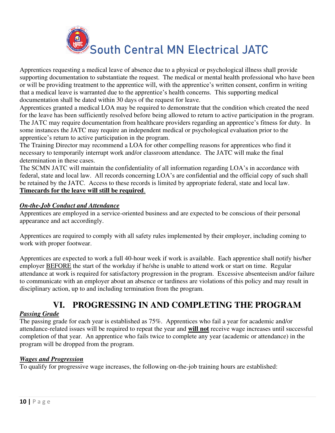![](_page_9_Picture_0.jpeg)

Apprentices requesting a medical leave of absence due to a physical or psychological illness shall provide supporting documentation to substantiate the request. The medical or mental health professional who have been or will be providing treatment to the apprentice will, with the apprentice's written consent, confirm in writing that a medical leave is warranted due to the apprentice's health concerns. This supporting medical documentation shall be dated within 30 days of the request for leave.

Apprentices granted a medical LOA may be required to demonstrate that the condition which created the need for the leave has been sufficiently resolved before being allowed to return to active participation in the program. The JATC may require documentation from healthcare providers regarding an apprentice's fitness for duty. In some instances the JATC may require an independent medical or psychological evaluation prior to the apprentice's return to active participation in the program.

The Training Director may recommend a LOA for other compelling reasons for apprentices who find it necessary to temporarily interrupt work and/or classroom attendance. The JATC will make the final determination in these cases.

The SCMN JATC will maintain the confidentiality of all information regarding LOA's in accordance with federal, state and local law. All records concerning LOA's are confidential and the official copy of such shall be retained by the JATC. Access to these records is limited by appropriate federal, state and local law. **Timecards for the leave will still be required**.

### *On-the-Job Conduct and Attendance*

Apprentices are employed in a service-oriented business and are expected to be conscious of their personal appearance and act accordingly.

Apprentices are required to comply with all safety rules implemented by their employer, including coming to work with proper footwear.

Apprentices are expected to work a full 40-hour week if work is available. Each apprentice shall notify his/her employer BEFORE the start of the workday if he/she is unable to attend work or start on time. Regular attendance at work is required for satisfactory progression in the program. Excessive absenteeism and/or failure to communicate with an employer about an absence or tardiness are violations of this policy and may result in disciplinary action, up to and including termination from the program.

# **VI. PROGRESSING IN AND COMPLETING THE PROGRAM**

### *Passing Grade*

The passing grade for each year is established as 75%. Apprentices who fail a year for academic and/or attendance-related issues will be required to repeat the year and **will not** receive wage increases until successful completion of that year. An apprentice who fails twice to complete any year (academic or attendance) in the program will be dropped from the program.

### *Wages and Progression*

To qualify for progressive wage increases, the following on-the-job training hours are established: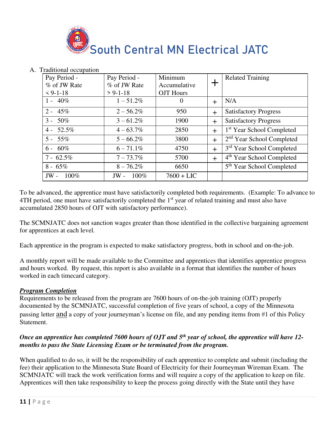![](_page_10_Picture_0.jpeg)

| Pay Period -   | Pay Period -   | Minimum          |        | <b>Related Training</b>               |
|----------------|----------------|------------------|--------|---------------------------------------|
| % of JW Rate   | % of JW Rate   | Accumulative     |        |                                       |
| $< 9-1-18$     | $> 9 - 1 - 18$ | <b>OJT</b> Hours |        |                                       |
| $1 - 40\%$     | $1 - 51.2\%$   | $\theta$         | $\div$ | N/A                                   |
| 45%<br>$2 -$   | $2 - 56.2\%$   | 950              | $\div$ | <b>Satisfactory Progress</b>          |
| 50%<br>$3 -$   | $3 - 61.2\%$   | 1900             | $\div$ | <b>Satisfactory Progress</b>          |
| 52.5%<br>$4 -$ | $4 - 63.7\%$   | 2850             | $+$    | 1 <sup>st</sup> Year School Completed |
| $5 - 55\%$     | $5 - 66.2\%$   | 3800             | $\div$ | 2 <sup>nd</sup> Year School Completed |
| 60%<br>$6 -$   | $6 - 71.1\%$   | 4750             | $\div$ | 3 <sup>rd</sup> Year School Completed |
| $7 - 62.5\%$   | $7 - 73.7\%$   | 5700             | $+$    | 4 <sup>th</sup> Year School Completed |
| $8 - 65\%$     | $8 - 76.2\%$   | 6650             |        | 5 <sup>th</sup> Year School Completed |
| 100%<br>$JW -$ | 100%<br>$JW -$ | $7600 + LIC$     |        |                                       |

### A. Traditional occupation

To be advanced, the apprentice must have satisfactorily completed both requirements. (Example: To advance to 4TH period, one must have satisfactorily completed the 1<sup>st</sup> year of related training and must also have accumulated 2850 hours of OJT with satisfactory performance).

The SCMNJATC does not sanction wages greater than those identified in the collective bargaining agreement for apprentices at each level.

Each apprentice in the program is expected to make satisfactory progress, both in school and on-the-job.

A monthly report will be made available to the Committee and apprentices that identifies apprentice progress and hours worked. By request, this report is also available in a format that identifies the number of hours worked in each timecard category.

### *Program Completion*

Requirements to be released from the program are 7600 hours of on-the-job training (OJT) properly documented by the SCMNJATC, successful completion of five years of school, a copy of the Minnesota passing letter and a copy of your journeyman's license on file, and any pending items from #1 of this Policy Statement.

### *Once an apprentice has completed 7600 hours of OJT and 5th year of school, the apprentice will have 12 months to pass the State Licensing Exam or be terminated from the program.*

When qualified to do so, it will be the responsibility of each apprentice to complete and submit (including the fee) their application to the Minnesota State Board of Electricity for their Journeyman Wireman Exam. The SCMNJATC will track the work verification forms and will require a copy of the application to keep on file. Apprentices will then take responsibility to keep the process going directly with the State until they have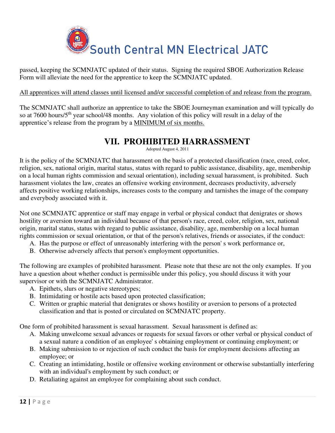![](_page_11_Picture_0.jpeg)

passed, keeping the SCMNJATC updated of their status. Signing the required SBOE Authorization Release Form will alleviate the need for the apprentice to keep the SCMNJATC updated.

### All apprentices will attend classes until licensed and/or successful completion of and release from the program.

The SCMNJATC shall authorize an apprentice to take the SBOE Journeyman examination and will typically do so at 7600 hours/5<sup>th</sup> year school/48 months. Any violation of this policy will result in a delay of the apprentice's release from the program by a MINIMUM of six months.

# **VII. PROHIBITED HARRASSMENT**

Adopted August 4, 2011

It is the policy of the SCMNJATC that harassment on the basis of a protected classification (race, creed, color, religion, sex, national origin, marital status, status with regard to public assistance, disability, age, membership on a local human rights commission and sexual orientation), including sexual harassment, is prohibited. Such harassment violates the law, creates an offensive working environment, decreases productivity, adversely affects positive working relationships, increases costs to the company and tarnishes the image of the company and everybody associated with it.

Not one SCMNJATC apprentice or staff may engage in verbal or physical conduct that denigrates or shows hostility or aversion toward an individual because of that person's race, creed, color, religion, sex, national origin, marital status, status with regard to public assistance, disability, age, membership on a local human rights commission or sexual orientation, or that of the person's relatives, friends or associates, if the conduct:

- A. Has the purpose or effect of unreasonably interfering with the person' s work performance or,
- B. Otherwise adversely affects that person's employment opportunities.

The following are examples of prohibited harassment. Please note that these are not the only examples. If you have a question about whether conduct is permissible under this policy, you should discuss it with your supervisor or with the SCMNJATC Administrator.

- A. Epithets, slurs or negative stereotypes;
- B. Intimidating or hostile acts based upon protected classification;
- C. Written or graphic material that denigrates or shows hostility or aversion to persons of a protected classification and that is posted or circulated on SCMNJATC property.

One form of prohibited harassment is sexual harassment. Sexual harassment is defined as:

- A. Making unwelcome sexual advances or requests for sexual favors or other verbal or physical conduct of a sexual nature a condition of an employee' s obtaining employment or continuing employment; or
- B. Making submission to or rejection of such conduct the basis for employment decisions affecting an employee; or
- C. Creating an intimidating, hostile or offensive working environment or otherwise substantially interfering with an individual's employment by such conduct; or
- D. Retaliating against an employee for complaining about such conduct.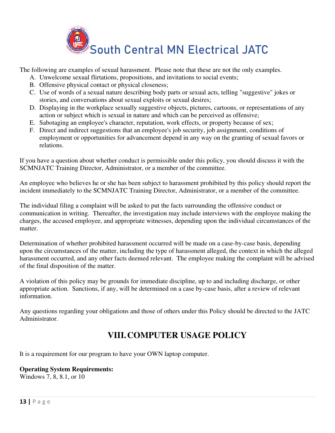![](_page_12_Picture_0.jpeg)

The following are examples of sexual harassment. Please note that these are not the only examples.

- A. Unwelcome sexual flirtations, propositions, and invitations to social events;
- B. Offensive physical contact or physical closeness;
- C. Use of words of a sexual nature describing body parts or sexual acts, telling "suggestive" jokes or stories, and conversations about sexual exploits or sexual desires;
- D. Displaying in the workplace sexually suggestive objects, pictures, cartoons, or representations of any action or subject which is sexual in nature and which can be perceived as offensive;
- E. Sabotaging an employee's character, reputation, work effects, or property because of sex;
- F. Direct and indirect suggestions that an employee's job security, job assignment, conditions of employment or opportunities for advancement depend in any way on the granting of sexual favors or relations.

If you have a question about whether conduct is permissible under this policy, you should discuss it with the SCMNJATC Training Director, Administrator, or a member of the committee.

An employee who believes he or she has been subject to harassment prohibited by this policy should report the incident immediately to the SCMNJATC Training Director, Administrator, or a member of the committee.

The individual filing a complaint will be asked to put the facts surrounding the offensive conduct or communication in writing. Thereafter, the investigation may include interviews with the employee making the charges, the accused employee, and appropriate witnesses, depending upon the individual circumstances of the matter.

Determination of whether prohibited harassment occurred will be made on a case-by-case basis, depending upon the circumstances of the matter, including the type of harassment alleged, the context in which the alleged harassment occurred, and any other facts deemed relevant. The employee making the complaint will be advised of the final disposition of the matter.

A violation of this policy may be grounds for immediate discipline, up to and including discharge, or other appropriate action. Sanctions, if any, will be determined on a case by-case basis, after a review of relevant information.

Any questions regarding your obligations and those of others under this Policy should be directed to the JATC Administrator.

# **VIII.COMPUTER USAGE POLICY**

It is a requirement for our program to have your OWN laptop computer.

### **Operating System Requirements:**

Windows 7, 8, 8.1, or 10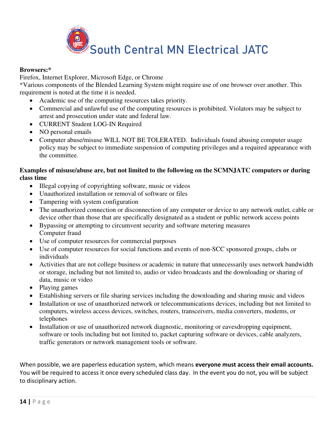![](_page_13_Picture_0.jpeg)

### **Browsers:\***

[Firefox,](https://getfirefox.com/) [Internet Explorer,](https://windows.microsoft.com/en-us/internet-explorer/download-ie) [Microsoft Edge,](https://www.microsoft.com/en-us/windows/microsoft-edge) or [Chrome](https://www.google.com/chrome/browser/) 

\*Various components of the Blended Learning System might require use of one browser over another. This requirement is noted at the time it is needed.

- Academic use of the computing resources takes priority.
- Commercial and unlawful use of the computing resources is prohibited. Violators may be subject to arrest and prosecution under state and federal law.
- CURRENT Student LOG-IN Required
- NO personal emails
- Computer abuse/misuse WILL NOT BE TOLERATED. Individuals found abusing computer usage policy may be subject to immediate suspension of computing privileges and a required appearance with the committee.

### **Examples of misuse/abuse are, but not limited to the following on the SCMNJATC computers or during class time**

- Illegal copying of copyrighting software, music or videos
- Unauthorized installation or removal of software or files
- Tampering with system configuration
- The unauthorized connection or disconnection of any computer or device to any network outlet, cable or device other than those that are specifically designated as a student or public network access points
- Bypassing or attempting to circumvent security and software metering measures Computer fraud
- Use of computer resources for commercial purposes
- Use of computer resources for social functions and events of non-SCC sponsored groups, clubs or individuals
- Activities that are not college business or academic in nature that unnecessarily uses network bandwidth or storage, including but not limited to, audio or video broadcasts and the downloading or sharing of data, music or video
- Playing games
- Establishing servers or file sharing services including the downloading and sharing music and videos
- Installation or use of unauthorized network or telecommunications devices, including but not limited to computers, wireless access devices, switches, routers, transceivers, media converters, modems, or telephones
- Installation or use of unauthorized network diagnostic, monitoring or eavesdropping equipment, software or tools including but not limited to, packet capturing software or devices, cable analyzers, traffic generators or network management tools or software.

When possible, we are paperless education system, which means **everyone must access their email accounts.**  You will be required to access it once every scheduled class day. In the event you do not, you will be subject to disciplinary action.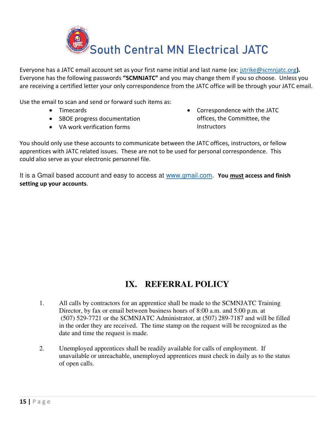![](_page_14_Picture_0.jpeg)

Everyone has a JATC email account set as your first name initial and last name (ex: [jstrike@scmnjatc.org](mailto:jstrike@scmnjatc.org)**).** Everyone has the following passwords **"SCMNJATC"** and you may change them if you so choose. Unless you are receiving a certified letter your only correspondence from the JATC office will be through your JATC email.

Use the email to scan and send or forward such items as:

- Timecards
- SBOE progress documentation
- VA work verification forms

• Correspondence with the JATC offices, the Committee, the **Instructors** 

You should only use these accounts to communicate between the JATC offices, instructors, or fellow apprentices with JATC related issues. These are not to be used for personal correspondence. This could also serve as your electronic personnel file.

It is a Gmail based account and easy to access at [www.gmail.com](http://www.gmail.com/). **You must access and finish setting up your accounts**.

# **IX. REFERRAL POLICY**

- 1. All calls by contractors for an apprentice shall be made to the SCMNJATC Training Director, by fax or email between business hours of 8:00 a.m. and 5:00 p.m. at (507) 529-7721 or the SCMNJATC Administrator, at (507) 289-7187 and will be filled in the order they are received. The time stamp on the request will be recognized as the date and time the request is made.
- 2. Unemployed apprentices shall be readily available for calls of employment. If unavailable or unreachable, unemployed apprentices must check in daily as to the status of open calls.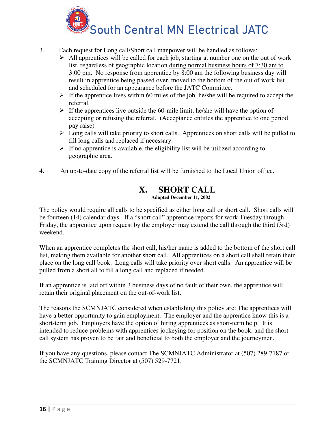![](_page_15_Picture_0.jpeg)

- 3. Each request for Long call/Short call manpower will be handled as follows:
	- $\triangleright$  All apprentices will be called for each job, starting at number one on the out of work list, regardless of geographic location during normal business hours of 7:30 am to 3:00 pm. No response from apprentice by 8:00 am the following business day will result in apprentice being passed over, moved to the bottom of the out of work list and scheduled for an appearance before the JATC Committee.
	- $\triangleright$  If the apprentice lives within 60 miles of the job, he/she will be required to accept the referral.
	- $\triangleright$  If the apprentices live outside the 60-mile limit, he/she will have the option of accepting or refusing the referral. (Acceptance entitles the apprentice to one period pay raise)
	- $\triangleright$  Long calls will take priority to short calls. Apprentices on short calls will be pulled to fill long calls and replaced if necessary.
	- $\triangleright$  If no apprentice is available, the eligibility list will be utilized according to geographic area.
- 4. An up-to-date copy of the referral list will be furnished to the Local Union office.

# **X. SHORT CALL**

 **Adopted December 11, 2002** 

The policy would require all calls to be specified as either long call or short call. Short calls will be fourteen (14) calendar days. If a "short call" apprentice reports for work Tuesday through Friday, the apprentice upon request by the employer may extend the call through the third (3rd) weekend.

When an apprentice completes the short call, his/her name is added to the bottom of the short call list, making them available for another short call. All apprentices on a short call shall retain their place on the long call book. Long calls will take priority over short calls. An apprentice will be pulled from a short all to fill a long call and replaced if needed.

If an apprentice is laid off within 3 business days of no fault of their own, the apprentice will retain their original placement on the out-of-work list.

The reasons the SCMNJATC considered when establishing this policy are: The apprentices will have a better opportunity to gain employment. The employer and the apprentice know this is a short-term job. Employers have the option of hiring apprentices as short-term help. It is intended to reduce problems with apprentices jockeying for position on the book; and the short call system has proven to be fair and beneficial to both the employer and the journeymen.

If you have any questions, please contact The SCMNJATC Administrator at (507) 289-7187 or the SCMNJATC Training Director at (507) 529-7721.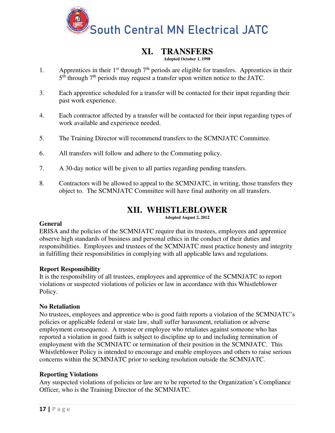![](_page_16_Picture_0.jpeg)

# **XI. TRANSFERS**

#### **Adopted October 1, 1998**

- 1. Apprentices in their  $1<sup>st</sup>$  through  $7<sup>th</sup>$  periods are eligible for transfers. Apprentices in their 5<sup>th</sup> through 7<sup>th</sup> periods may request a transfer upon written notice to the JATC.
- 3. Each apprentice scheduled for a transfer will be contacted for their input regarding their past work experience.
- 4. Each contractor affected by a transfer will be contacted for their input regarding types of work available and experience needed.
- 5. The Training Director will recommend transfers to the SCMNJATC Committee.
- 6. All transfers will follow and adhere to the Commuting policy.
- 7. A 30-day notice will be given to all parties regarding pending transfers.
- 8. Contractors will be allowed to appeal to the SCMNJATC, in writing, those transfers they object to. The SCMNJATC Committee will have final authority on all transfers.

# **XII. WHISTLEBLOWER**

**Adopted August 2, 2012** 

### **General**

ERISA and the policies of the SCMNJATC require that its trustees, employees and apprentice observe high standards of business and personal ethics in the conduct of their duties and responsibilities. Employees and trustees of the SCMNJATC must practice honesty and integrity in fulfilling their responsibilities in complying with all applicable laws and regulations.

### **Report Responsibility**

It is the responsibility of all trustees, employees and apprentice of the SCMNJATC to report violations or suspected violations of policies or law in accordance with this Whistleblower Policy.

#### **No Retaliation**

No trustees, employees and apprentice who is good faith reports a violation of the SCMNJATC's policies or applicable federal or state law, shall suffer harassment, retaliation or adverse employment consequence. A trustee or employee who retaliates against someone who has reported a violation in good faith is subject to discipline up to and including termination of employment with the SCMNJATC or termination of their position in the SCMNJATC. This Whistleblower Policy is intended to encourage and enable employees and others to raise serious concerns within the SCMNJATC prior to seeking resolution outside the SCMNJATC.

#### **Reporting Violations**

Any suspected violations of policies or law are to be reported to the Organization's Compliance Officer, who is the Training Director of the SCMNJATC.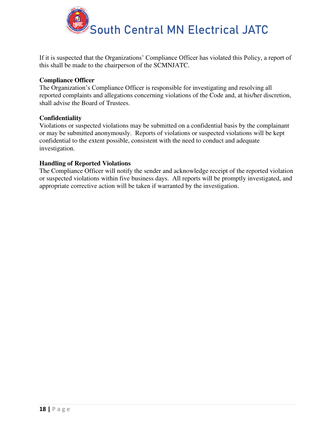![](_page_17_Picture_0.jpeg)

If it is suspected that the Organizations' Compliance Officer has violated this Policy, a report of this shall be made to the chairperson of the SCMNJATC.

### **Compliance Officer**

The Organization's Compliance Officer is responsible for investigating and resolving all reported complaints and allegations concerning violations of the Code and, at his/her discretion, shall advise the Board of Trustees.

#### **Confidentiality**

Violations or suspected violations may be submitted on a confidential basis by the complainant or may be submitted anonymously. Reports of violations or suspected violations will be kept confidential to the extent possible, consistent with the need to conduct and adequate investigation.

#### **Handling of Reported Violations**

The Compliance Officer will notify the sender and acknowledge receipt of the reported violation or suspected violations within five business days. All reports will be promptly investigated, and appropriate corrective action will be taken if warranted by the investigation.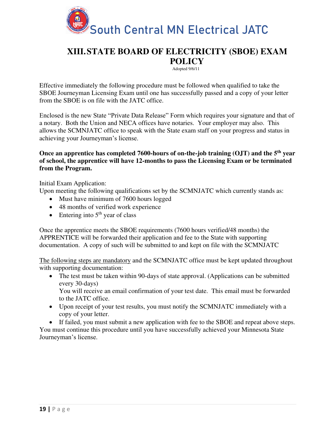![](_page_18_Picture_0.jpeg)

# **XIII.STATE BOARD OF ELECTRICITY (SBOE) EXAM POLICY**

Adopted 9/6/11

Effective immediately the following procedure must be followed when qualified to take the SBOE Journeyman Licensing Exam until one has successfully passed and a copy of your letter from the SBOE is on file with the JATC office.

Enclosed is the new State "Private Data Release" Form which requires your signature and that of a notary. Both the Union and NECA offices have notaries. Your employer may also. This allows the SCMNJATC office to speak with the State exam staff on your progress and status in achieving your Journeyman's license.

### **Once an apprentice has completed 7600-hours of on-the-job training (OJT) and the 5th year of school, the apprentice will have 12-months to pass the Licensing Exam or be terminated from the Program.**

Initial Exam Application:

Upon meeting the following qualifications set by the SCMNJATC which currently stands as:

- Must have minimum of 7600 hours logged
- 48 months of verified work experience
- Entering into  $5<sup>th</sup>$  year of class

Once the apprentice meets the SBOE requirements (7600 hours verified/48 months) the APPRENTICE will be forwarded their application and fee to the State with supporting documentation. A copy of such will be submitted to and kept on file with the SCMNJATC

The following steps are mandatory and the SCMNJATC office must be kept updated throughout with supporting documentation:

• The test must be taken within 90-days of state approval. (Applications can be submitted every 30-days)

You will receive an email confirmation of your test date. This email must be forwarded to the JATC office.

- Upon receipt of your test results, you must notify the SCMNJATC immediately with a copy of your letter.
- If failed, you must submit a new application with fee to the SBOE and repeat above steps.

You must continue this procedure until you have successfully achieved your Minnesota State Journeyman's license.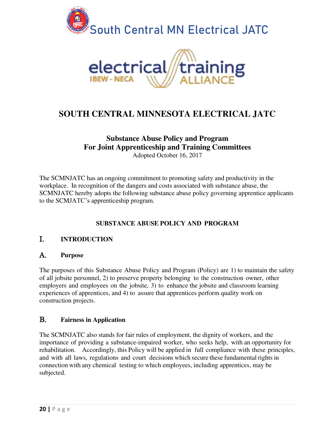![](_page_19_Picture_0.jpeg)

# **SOUTH CENTRAL MINNESOTA ELECTRICAL JATC**

# **Substance Abuse Policy and Program For Joint Apprenticeship and Training Committees**

Adopted October 16, 2017

The SCMNJATC has an ongoing commitment to promoting safety and productivity in the workplace. In recognition of the dangers and costs associated with substance abuse, the SCMNJATC hereby adopts the following substance abuse policy governing apprentice applicants to the SCMJATC's apprenticeship program.

## **SUBSTANCE ABUSE POLICY AND PROGRAM**

## I. **INTRODUCTION**

## A. **Purpose**

The purposes of this Substance Abuse Policy and Program (Policy) are 1) to maintain the safety of all jobsite personnel, 2) to preserve property belonging to the construction owner, other employers and employees on the jobsite, 3) to enhance the jobsite and classroom learning experiences of apprentices, and 4) to assure that apprentices perform quality work on construction projects.

## B. **Fairness in Application**

The SCMNJATC also stands for fair rules of employment, the dignity of workers, and the importance of providing a substance-impaired worker, who seeks help, with an opportunity for rehabilitation. Accordingly, this Policy will be applied in full compliance with these principles, and with all laws, regulations and court decisions which secure these fundamental rights in connection with any chemical testing to which employees, including apprentices, may be subjected.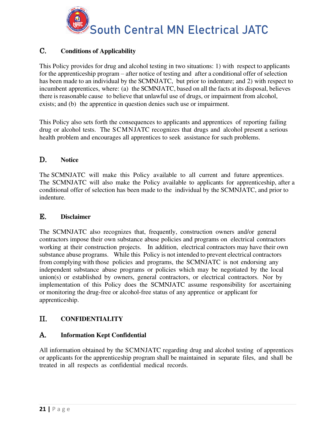![](_page_20_Picture_0.jpeg)

# C. **Conditions of Applicability**

This Policy provides for drug and alcohol testing in two situations: 1) with respect to applicants for the apprenticeship program – after notice of testing and after a conditional offer of selection has been made to an individual by the SCMNJATC, but prior to indenture; and 2) with respect to incumbent apprentices, where: (a) the SCMNJATC, based on all the facts at its disposal, believes there is reasonable cause to believe that unlawful use of drugs, or impairment from alcohol, exists; and (b) the apprentice in question denies such use or impairment.

This Policy also sets forth the consequences to applicants and apprentices of reporting failing drug or alcohol tests. The SCMNJATC recognizes that drugs and alcohol present a serious health problem and encourages all apprentices to seek assistance for such problems.

### D. **Notice**

The SCMNJATC will make this Policy available to all current and future apprentices. The SCMNJATC will also make the Policy available to applicants for apprenticeship, after a conditional offer of selection has been made to the individual by the SCMNJATC, and prior to indenture.

### E. **Disclaimer**

The SCMNJATC also recognizes that, frequently, construction owners and/or general contractors impose their own substance abuse policies and programs on electrical contractors working at their construction projects. In addition, electrical contractors may have their own substance abuse programs. While this Policy is not intended to prevent electrical contractors from complying with those policies and programs, the SCMNJATC is not endorsing any independent substance abuse programs or policies which may be negotiated by the local union(s) or established by owners, general contractors, or electrical contractors. Nor by implementation of this Policy does the SCMNJATC assume responsibility for ascertaining or monitoring the drug-free or alcohol-free status of any apprentice or applicant for apprenticeship.

## II. **CONFIDENTIALITY**

### A. **Information Kept Confidential**

All information obtained by the SCMNJATC regarding drug and alcohol testing of apprentices or applicants for the apprenticeship program shall be maintained in separate files, and shall be treated in all respects as confidential medical records.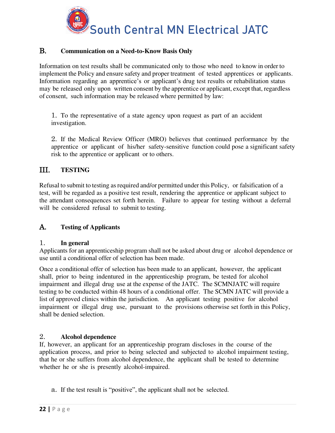![](_page_21_Picture_0.jpeg)

### B. **Communication on a Need-to-Know Basis Only**

Information on test results shall be communicated only to those who need to know in order to implement the Policy and ensure safety and proper treatment of tested apprentices or applicants. Information regarding an apprentice's or applicant's drug test results or rehabilitation status may be released only upon written consent by the apprentice or applicant, except that, regardless of consent, such information may be released where permitted by law:

1. To the representative of a state agency upon request as part of an accident investigation.

2. If the Medical Review Officer (MRO) believes that continued performance by the apprentice or applicant of his/her safety-sensitive function could pose a significant safety risk to the apprentice or applicant or to others.

# III. **TESTING**

Refusal to submit to testing as required and/or permitted under this Policy, or falsification of a test, will be regarded as a positive test result, rendering the apprentice or applicant subject to the attendant consequences set forth herein. Failure to appear for testing without a deferral will be considered refusal to submit to testing.

## A. **Testing of Applicants**

### 1. **In general**

Applicants for an apprenticeship program shall not be asked about drug or alcohol dependence or use until a conditional offer of selection has been made.

Once a conditional offer of selection has been made to an applicant, however, the applicant shall, prior to being indentured in the apprenticeship program, be tested for alcohol impairment and illegal drug use at the expense of the JATC. The SCMNJATC will require testing to be conducted within 48 hours of a conditional offer. The SCMN JATC will provide a list of approved clinics within the jurisdiction. An applicant testing positive for alcohol impairment or illegal drug use, pursuant to the provisions otherwise set forth in this Policy, shall be denied selection.

### 2. **Alcohol dependence**

If, however, an applicant for an apprenticeship program discloses in the course of the application process, and prior to being selected and subjected to alcohol impairment testing, that he or she suffers from alcohol dependence, the applicant shall be tested to determine whether he or she is presently alcohol-impaired.

a. If the test result is "positive", the applicant shall not be selected.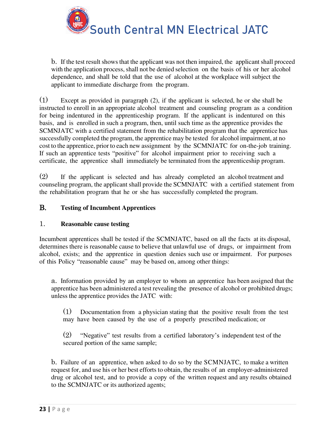![](_page_22_Picture_0.jpeg)

South Central MN Electrical JATC

b. If the test result shows that the applicant was not then impaired, the applicant shall proceed with the application process, shall not be denied selection on the basis of his or her alcohol dependence, and shall be told that the use of alcohol at the workplace will subject the applicant to immediate discharge from the program.

(1) Except as provided in paragraph (2), if the applicant is selected, he or she shall be instructed to enroll in an appropriate alcohol treatment and counseling program as a condition for being indentured in the apprenticeship program. If the applicant is indentured on this basis, and is enrolled in such a program, then, until such time as the apprentice provides the SCMNJATC with a certified statement from the rehabilitation program that the apprentice has successfully completed the program, the apprentice may be tested for alcohol impairment, at no cost to the apprentice, prior to each new assignment by the SCMNJATC for on-the-job training. If such an apprentice tests "positive" for alcohol impairment prior to receiving such a certificate, the apprentice shall immediately be terminated from the apprenticeship program.

(2) If the applicant is selected and has already completed an alcohol treatment and counseling program, the applicant shall provide the SCMNJATC with a certified statement from the rehabilitation program that he or she has successfully completed the program.

### B. **Testing of Incumbent Apprentices**

### 1. **Reasonable cause testing**

Incumbent apprentices shall be tested if the SCMNJATC, based on all the facts at its disposal, determines there is reasonable cause to believe that unlawful use of drugs, or impairment from alcohol, exists; and the apprentice in question denies such use or impairment. For purposes of this Policy "reasonable cause" may be based on, among other things:

a. Information provided by an employer to whom an apprentice has been assigned that the apprentice has been administered a test revealing the presence of alcohol or prohibited drugs; unless the apprentice provides the JATC with:

(1) Documentation from a physician stating that the positive result from the test may have been caused by the use of a properly prescribed medication; or

(2) "Negative" test results from a certified laboratory's independent test of the secured portion of the same sample;

b. Failure of an apprentice, when asked to do so by the SCMNJATC, to make a written request for, and use his or her best efforts to obtain, the results of an employer-administered drug or alcohol test, and to provide a copy of the written request and any results obtained to the SCMNJATC or its authorized agents;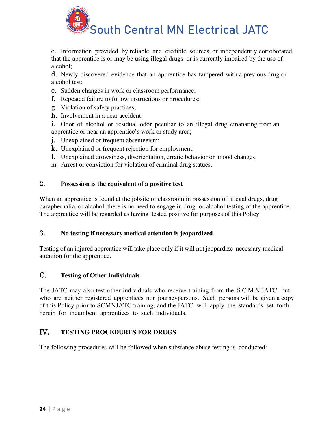![](_page_23_Picture_0.jpeg)

c. Information provided by reliable and credible sources, or independently corroborated, that the apprentice is or may be using illegal drugs or is currently impaired by the use of alcohol;

d. Newly discovered evidence that an apprentice has tampered with a previous drug or alcohol test;

- e. Sudden changes in work or classroom performance;
- f. Repeated failure to follow instructions or procedures;
- g. Violation of safety practices;
- h. Involvement in a near accident;
- i. Odor of alcohol or residual odor peculiar to an illegal drug emanating from an apprentice or near an apprentice's work or study area;
- j. Unexplained or frequent absenteeism;
- k. Unexplained or frequent rejection for employment;
- l. Unexplained drowsiness, disorientation, erratic behavior or mood changes;
- m. Arrest or conviction for violation of criminal drug statues.

### 2. **Possession is the equivalent of a positive test**

When an apprentice is found at the jobsite or classroom in possession of illegal drugs, drug paraphernalia, or alcohol, there is no need to engage in drug or alcohol testing of the apprentice. The apprentice will be regarded as having tested positive for purposes of this Policy.

### 3. **No testing if necessary medical attention is jeopardized**

Testing of an injured apprentice will take place only if it will not jeopardize necessary medical attention for the apprentice.

## C. **Testing of Other Individuals**

The JATC may also test other individuals who receive training from the S C M N JATC, but who are neither registered apprentices nor journeypersons. Such persons will be given a copy of this Policy prior to SCMNJATC training, and the JATC will apply the standards set forth herein for incumbent apprentices to such individuals.

## IV. **TESTING PROCEDURES FOR DRUGS**

The following procedures will be followed when substance abuse testing is conducted: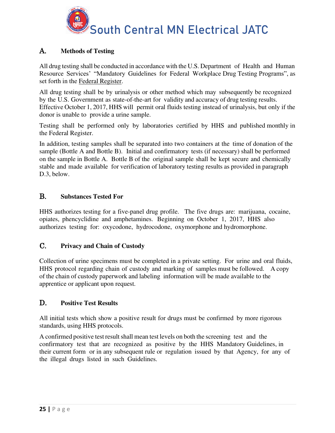![](_page_24_Picture_0.jpeg)

# A. **Methods of Testing**

All drug testing shall be conducted in accordance with the U.S. Department of Health and Human Resource Services' "Mandatory Guidelines for Federal Workplace Drug Testing Programs", as set forth in the Federal Register.

All drug testing shall be by urinalysis or other method which may subsequently be recognized by the U.S. Government as state-of-the-art for validity and accuracy of drug testing results. Effective October 1, 2017, HHS will permit oral fluids testing instead of urinalysis, but only if the donor is unable to provide a urine sample.

Testing shall be performed only by laboratories certified by HHS and published monthly in the Federal Register.

In addition, testing samples shall be separated into two containers at the time of donation of the sample (Bottle A and Bottle B). Initial and confirmatory tests (if necessary) shall be performed on the sample in Bottle A. Bottle B of the original sample shall be kept secure and chemically stable and made available for verification of laboratory testing results as provided in paragraph D.3, below.

## B. **Substances Tested For**

HHS authorizes testing for a five-panel drug profile. The five drugs are: marijuana, cocaine, opiates, phencyclidine and amphetamines. Beginning on October 1, 2017, HHS also authorizes testing for: oxycodone, hydrocodone, oxymorphone and hydromorphone.

## C. **Privacy and Chain of Custody**

Collection of urine specimens must be completed in a private setting. For urine and oral fluids, HHS protocol regarding chain of custody and marking of samples must be followed. A copy of the chain of custody paperwork and labeling information will be made available to the apprentice or applicant upon request.

### D. **Positive Test Results**

All initial tests which show a positive result for drugs must be confirmed by more rigorous standards, using HHS protocols.

A confirmed positive test result shall mean test levels on both the screening test and the confirmatory test that are recognized as positive by the HHS Mandatory Guidelines, in their current form or in any subsequent rule or regulation issued by that Agency, for any of the illegal drugs listed in such Guidelines.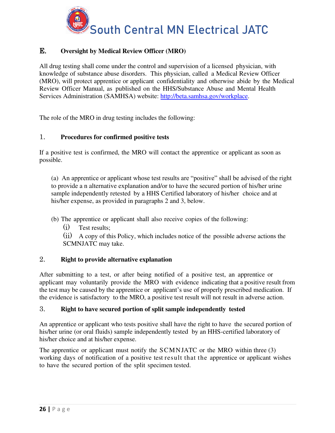![](_page_25_Picture_0.jpeg)

# E. **Oversight by Medical Review Officer (MRO)**

All drug testing shall come under the control and supervision of a licensed physician, with knowledge of substance abuse disorders. This physician, called a Medical Review Officer (MRO), will protect apprentice or applicant confidentiality and otherwise abide by the Medical Review Officer Manual, as published on the HHS/Substance Abuse and Mental Health Services Administration (SAMHSA) website: http://beta.samhsa.gov/workplace.

The role of the MRO in drug testing includes the following:

### 1. **Procedures for confirmed positive tests**

If a positive test is confirmed, the MRO will contact the apprentice or applicant as soon as possible.

(a) An apprentice or applicant whose test results are "positive" shall be advised of the right to provide a n alternative explanation and/or to have the secured portion of his/her urine sample independently retested by a HHS Certified laboratory of his/her choice and at his/her expense, as provided in paragraphs 2 and 3, below.

(b) The apprentice or applicant shall also receive copies of the following:

(i) Test results;

(ii) A copy of this Policy, which includes notice of the possible adverse actions the SCMNJATC may take.

### 2. **Right to provide alternative explanation**

After submitting to a test, or after being notified of a positive test, an apprentice or applicant may voluntarily provide the MRO with evidence indicating that a positive result from the test may be caused by the apprentice or applicant's use of properly prescribed medication. If the evidence is satisfactory to the MRO, a positive test result will not result in adverse action.

### 3. **Right to have secured portion of split sample independently tested**

An apprentice or applicant who tests positive shall have the right to have the secured portion of his/her urine (or oral fluids) sample independently tested by an HHS-certified laboratory of his/her choice and at his/her expense.

The apprentice or applicant must notify the SCMNJATC or the MRO within three (3) working days of notification of a positive test result that the apprentice or applicant wishes to have the secured portion of the split specimen tested.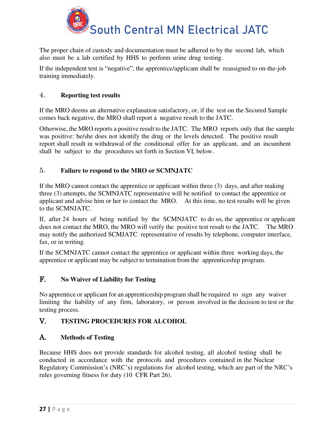![](_page_26_Picture_0.jpeg)

The proper chain of custody and documentation must be adhered to by the second lab, which also must be a lab certified by HHS to perform urine drug testing.

If the independent test is "negative", the apprentice/applicant shall be reassigned to on-the-job training immediately.

### 4. **Reporting test results**

If the MRO deems an alternative explanation satisfactory, or, if the test on the Secured Sample comes back negative, the MRO shall report a negative result to the JATC.

Otherwise, the MRO reports a positive result to the JATC. The MRO reports only that the sample was positive: he/she does not identify the drug or the levels detected. The positive result report shall result in withdrawal of the conditional offer for an applicant, and an incumbent shall be subject to the procedures set forth in Section VI, below.

### 5. **Failure to respond to the MRO or SCMNJATC**

If the MRO cannot contact the apprentice or applicant within three (3) days, and after making three (3) attempts, the SCMNJATC representative will be notified to contact the apprentice or applicant and advise him or her to contact the MRO. At this time, no test results will be given to the SCMNJATC.

If, after 24 hours of being notified by the SCMNJATC to do so, the apprentice or applicant does not contact the MRO, the MRO will verify the positive test result to the JATC. The MRO may notify the authorized SCMJATC representative of results by telephone, computer interface, fax, or in writing.

If the SCMNJATC cannot contact the apprentice or applicant within three working days, the apprentice or applicant may be subject to termination from the apprenticeship program.

## F. **No Waiver of Liability for Testing**

No apprentice or applicant for an apprenticeship program shall be required to sign any waiver limiting the liability of any firm, laboratory, or person involved in the decision to test or the testing process.

## V. **TESTING PROCEDURES FOR ALCOHOL**

### A. **Methods of Testing**

Because HHS does not provide standards for alcohol testing, all alcohol testing shall be conducted in accordance with the protocols and procedures contained in the Nuclear Regulatory Commission's (NRC's) regulations for alcohol testing, which are part of the NRC's rules governing fitness for duty (10 CFR Part 26).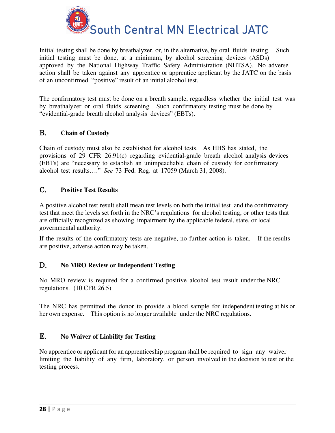![](_page_27_Picture_0.jpeg)

Initial testing shall be done by breathalyzer, or, in the alternative, by oral fluids testing. Such initial testing must be done, at a minimum, by alcohol screening devices (ASDs) approved by the National Highway Traffic Safety Administration (NHTSA). No adverse action shall be taken against any apprentice or apprentice applicant by the JATC on the basis of an unconfirmed "positive" result of an initial alcohol test.

The confirmatory test must be done on a breath sample, regardless whether the initial test was by breathalyzer or oral fluids screening. Such confirmatory testing must be done by "evidential-grade breath alcohol analysis devices" (EBTs).

# B. **Chain of Custody**

Chain of custody must also be established for alcohol tests. As HHS has stated, the provisions of 29 CFR 26.91(c) regarding evidential-grade breath alcohol analysis devices (EBTs) are "necessary to establish an unimpeachable chain of custody for confirmatory alcohol test results…." *See* 73 Fed. Reg. at 17059 (March 31, 2008).

### C. **Positive Test Results**

A positive alcohol test result shall mean test levels on both the initial test and the confirmatory test that meet the levels set forth in the NRC's regulations for alcohol testing, or other tests that are officially recognized as showing impairment by the applicable federal, state, or local governmental authority.

If the results of the confirmatory tests are negative, no further action is taken. If the results are positive, adverse action may be taken.

### D. **No MRO Review or Independent Testing**

No MRO review is required for a confirmed positive alcohol test result under the NRC regulations. (10 CFR 26.5)

The NRC has permitted the donor to provide a blood sample for independent testing at his or her own expense. This option is no longer available under the NRC regulations.

### E. **No Waiver of Liability for Testing**

No apprentice or applicant for an apprenticeship program shall be required to sign any waiver limiting the liability of any firm, laboratory, or person involved in the decision to test or the testing process.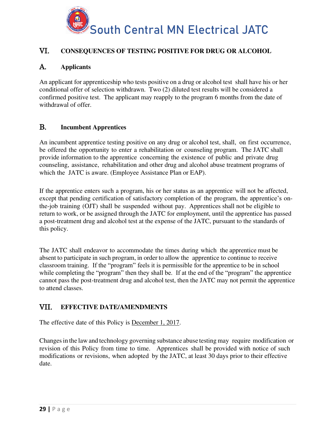![](_page_28_Picture_0.jpeg)

# VI. **CONSEQUENCES OF TESTING POSITIVE FOR DRUG OR ALCOHOL**

# A. **Applicants**

An applicant for apprenticeship who tests positive on a drug or alcohol test shall have his or her conditional offer of selection withdrawn. Two (2) diluted test results will be considered a confirmed positive test. The applicant may reapply to the program 6 months from the date of withdrawal of offer.

### B. **Incumbent Apprentices**

An incumbent apprentice testing positive on any drug or alcohol test, shall, on first occurrence, be offered the opportunity to enter a rehabilitation or counseling program. The JATC shall provide information to the apprentice concerning the existence of public and private drug counseling, assistance, rehabilitation and other drug and alcohol abuse treatment programs of which the JATC is aware. (Employee Assistance Plan or EAP).

If the apprentice enters such a program, his or her status as an apprentice will not be affected, except that pending certification of satisfactory completion of the program, the apprentice's onthe-job training (OJT) shall be suspended without pay. Apprentices shall not be eligible to return to work, or be assigned through the JATC for employment, until the apprentice has passed a post-treatment drug and alcohol test at the expense of the JATC, pursuant to the standards of this policy.

The JATC shall endeavor to accommodate the times during which the apprentice must be absent to participate in such program, in order to allow the apprentice to continue to receive classroom training. If the "program" feels it is permissible for the apprentice to be in school while completing the "program" then they shall be. If at the end of the "program" the apprentice cannot pass the post-treatment drug and alcohol test, then the JATC may not permit the apprentice to attend classes.

## VII. **EFFECTIVE DATE/AMENDMENTS**

The effective date of this Policy is December 1, 2017.

Changes in the law and technology governing substance abuse testing may require modification or revision of this Policy from time to time. Apprentices shall be provided with notice of such modifications or revisions, when adopted by the JATC, at least 30 days prior to their effective date.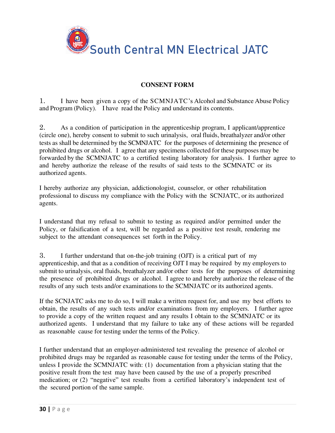![](_page_29_Picture_0.jpeg)

### **CONSENT FORM**

1. I have been given a copy of the SCMNJATC's Alcohol and Substance Abuse Policy and Program (Policy). I have read the Policy and understand its contents.

2. As a condition of participation in the apprenticeship program, I applicant/apprentice (circle one), hereby consent to submit to such urinalysis, oral fluids, breathalyzer and/or other tests as shall be determined by the SCMNJATC for the purposes of determining the presence of prohibited drugs or alcohol. I agree that any specimens collected for these purposes may be forwarded by the SCMNJATC to a certified testing laboratory for analysis. I further agree to and hereby authorize the release of the results of said tests to the SCMNATC or its authorized agents.

I hereby authorize any physician, addictionologist, counselor, or other rehabilitation professional to discuss my compliance with the Policy with the SCNJATC, or its authorized agents.

I understand that my refusal to submit to testing as required and/or permitted under the Policy, or falsification of a test, will be regarded as a positive test result, rendering me subject to the attendant consequences set forth in the Policy.

3. I further understand that on-the-job training (OJT) is a critical part of my apprenticeship, and that as a condition of receiving OJT I may be required by my employers to submit to urinalysis, oral fluids, breathalyzer and/or other tests for the purposes of determining the presence of prohibited drugs or alcohol. I agree to and hereby authorize the release of the results of any such tests and/or examinations to the SCMNJATC or its authorized agents.

If the SCNJATC asks me to do so, I will make a written request for, and use my best efforts to obtain, the results of any such tests and/or examinations from my employers. I further agree to provide a copy of the written request and any results I obtain to the SCMNJATC or its authorized agents. I understand that my failure to take any of these actions will be regarded as reasonable cause for testing under the terms of the Policy.

I further understand that an employer-administered test revealing the presence of alcohol or prohibited drugs may be regarded as reasonable cause for testing under the terms of the Policy, unless I provide the SCMNJATC with: (1) documentation from a physician stating that the positive result from the test may have been caused by the use of a properly prescribed medication; or (2) "negative" test results from a certified laboratory's independent test of the secured portion of the same sample.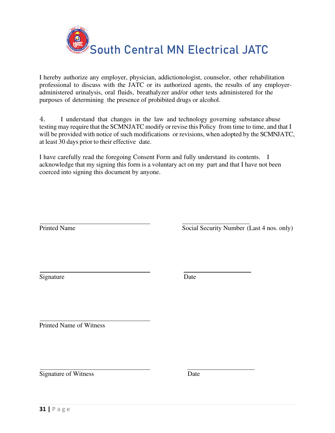![](_page_30_Picture_0.jpeg)

I hereby authorize any employer, physician, addictionologist, counselor, other rehabilitation professional to discuss with the JATC or its authorized agents, the results of any employeradministered urinalysis, oral fluids, breathalyzer and/or other tests administered for the purposes of determining the presence of prohibited drugs or alcohol.

4. I understand that changes in the law and technology governing substance abuse testing may require that the SCMNJATC modify or revise this Policy from time to time, and that I will be provided with notice of such modifications or revisions, when adopted by the SCMNJATC, at least 30 days prior to their effective date.

I have carefully read the foregoing Consent Form and fully understand its contents. I acknowledge that my signing this form is a voluntary act on my part and that I have not been coerced into signing this document by anyone.

Printed Name Social Security Number (Last 4 nos. only)

Signature Date

Printed Name of Witness

Signature of Witness Date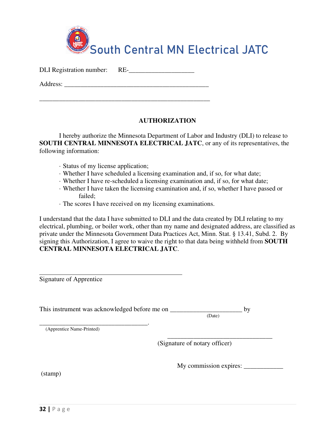![](_page_31_Picture_0.jpeg)

DLI Registration number: RE-

Address:

\_\_\_\_\_\_\_\_\_\_\_\_\_\_\_\_\_\_\_\_\_\_\_\_\_\_\_\_\_\_\_\_\_\_\_\_\_\_\_\_\_\_\_\_\_\_\_\_\_\_\_\_

### **AUTHORIZATION**

I hereby authorize the Minnesota Department of Labor and Industry (DLI) to release to **SOUTH CENTRAL MINNESOTA ELECTRICAL JATC**, or any of its representatives, the following information:

- · Status of my license application;
- · Whether I have scheduled a licensing examination and, if so, for what date;
- · Whether I have re-scheduled a licensing examination and, if so, for what date;
- · Whether I have taken the licensing examination and, if so, whether I have passed or failed;
- · The scores I have received on my licensing examinations.

I understand that the data I have submitted to DLI and the data created by DLI relating to my electrical, plumbing, or boiler work, other than my name and designated address, are classified as private under the Minnesota Government Data Practices Act, Minn. Stat. § 13.41, Subd. 2. By signing this Authorization, I agree to waive the right to that data being withheld from **SOUTH CENTRAL MINNESOTA ELECTRICAL JATC**.

 $\overline{a}$ Signature of Apprentice

This instrument was acknowledged before me on  $\frac{\qquad (Date)}{(Date)}$  by

 $\overline{\phantom{a}}$  , and the contract of the contract of the contract of the contract of the contract of the contract of the contract of the contract of the contract of the contract of the contract of the contract of the contrac

 (Date) \_\_\_\_\_\_\_\_\_\_\_\_\_\_\_\_\_\_\_\_\_\_\_\_\_\_\_\_\_\_\_\_\_.

(Apprentice Name-Printed)

(Signature of notary officer)

My commission expires: \_\_\_\_\_\_\_\_\_\_\_\_

(stamp)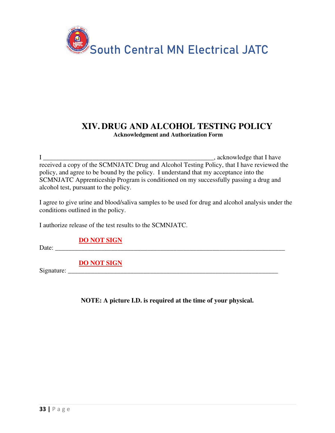![](_page_32_Picture_0.jpeg)

# **XIV. DRUG AND ALCOHOL TESTING POLICY Acknowledgment and Authorization Form**

 $I \longrightarrow$  acknowledge that I have received a copy of the SCMNJATC Drug and Alcohol Testing Policy, that I have reviewed the policy, and agree to be bound by the policy. I understand that my acceptance into the SCMNJATC Apprenticeship Program is conditioned on my successfully passing a drug and alcohol test, pursuant to the policy.

I agree to give urine and blood/saliva samples to be used for drug and alcohol analysis under the conditions outlined in the policy.

I authorize release of the test results to the SCMNJATC.

**DO NOT SIGN** 

Date: \_\_\_\_\_\_\_\_\_\_\_\_\_\_\_\_\_\_\_\_\_\_\_\_\_\_\_\_\_\_\_\_\_\_\_\_\_\_\_\_\_\_\_\_\_\_\_\_\_\_\_\_\_\_\_\_\_\_\_\_\_\_\_\_\_\_\_\_\_\_

**DO NOT SIGN** 

Signature: \_\_\_\_\_\_\_\_\_\_\_\_\_\_\_\_\_\_\_\_\_\_\_\_\_\_\_\_\_\_\_\_\_\_\_\_\_\_\_\_\_\_\_\_\_\_\_\_\_\_\_\_\_\_\_\_\_\_\_\_\_\_\_\_

**NOTE: A picture I.D. is required at the time of your physical.**